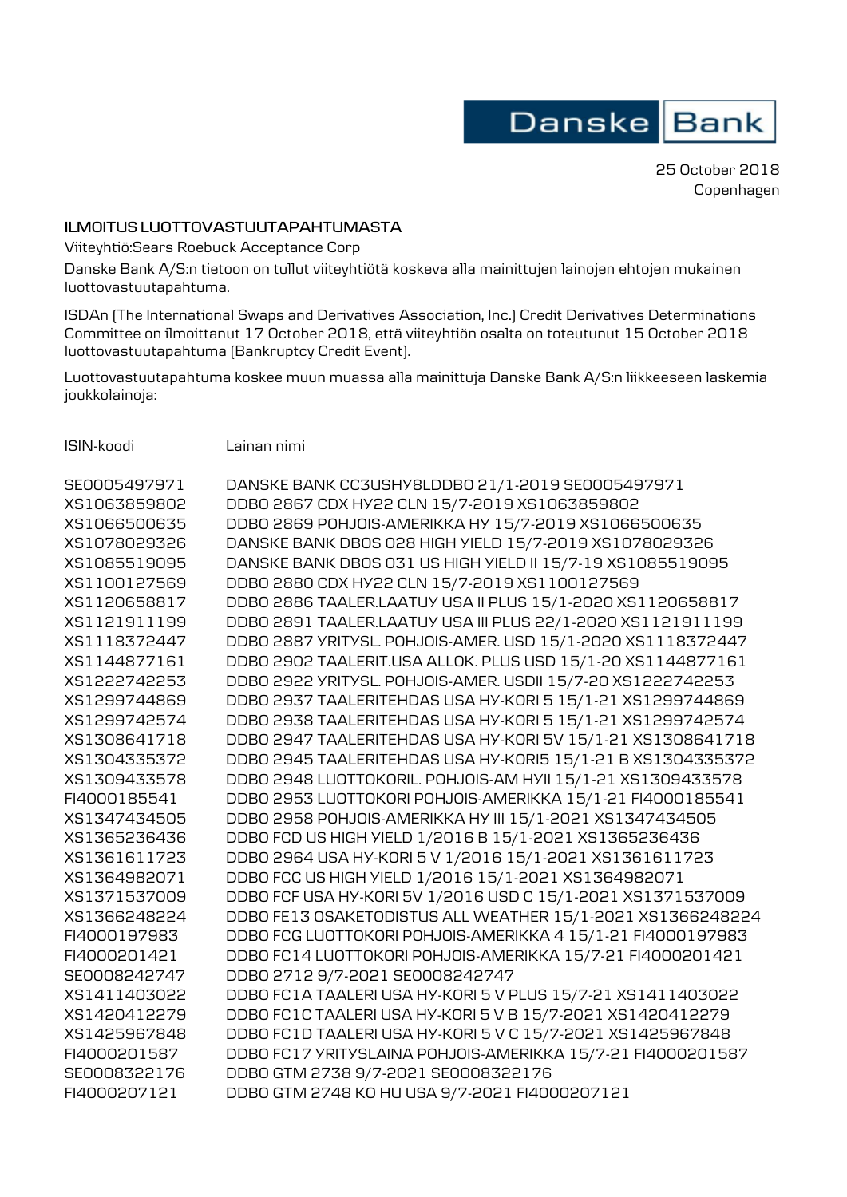Danske Bank

25 October 2018 Copenhagen

## **ILMOITUS LUOTTOVASTUUTAPAHTUMASTA**

Viiteyhtiö:Sears Roebuck Acceptance Corp

Danske Bank A/S:n tietoon on tullut viiteyhtiötä koskeva alla mainittujen lainojen ehtojen mukainen luottovastuutapahtuma.

ISDAn (The International Swaps and Derivatives Association, Inc.) Credit Derivatives Determinations Committee on ilmoittanut 17 October 2018, että viiteyhtiön osalta on toteutunut 15 October 2018 luottovastuutapahtuma (Bankruptcy Credit Event).

Luottovastuutapahtuma koskee muun muassa alla mainittuja Danske Bank A/S:n liikkeeseen laskemia joukkolainoja:

ISIN-koodi Lainan nimi

| SE0005497971 | DANSKE BANK CC3USHY8LDDB0 21/1-2019 SE0005497971            |
|--------------|-------------------------------------------------------------|
| XS1063859802 | DDB0 2867 CDX HY22 CLN 15/7-2019 XS1063859802               |
| XS1066500635 | DDB0 2869 POHJOIS-AMERIKKA HY 15/7-2019 XS1066500635        |
| XS1078029326 | DANSKE BANK DBOS 028 HIGH YIELD 15/7-2019 XS1078029326      |
| XS1085519095 | DANSKE BANK DBOS 031 US HIGH YIELD II 15/7-19 XS1085519095  |
| XS1100127569 | DDB0 2880 CDX HY22 CLN 15/7-2019 XS1100127569               |
| XS1120658817 | DDB0 2886 TAALER.LAATUY USA II PLUS 15/1-2020 XS1120658817  |
| XS1121911199 | DDB0 2891 TAALER.LAATUY USA III PLUS 22/1-2020 XS1121911199 |
| XS1118372447 | DDB0 2887 YRITYSL. POHJOIS-AMER. USD 15/1-2020 XS1118372447 |
| XS1144877161 | DDB0 2902 TAALERIT.USA ALLOK. PLUS USD 15/1-20 XS1144877161 |
| XS1222742253 | DDB0 2922 YRITYSL. POHJOIS-AMER. USDII 15/7-20 XS1222742253 |
| XS1299744869 | DDB0 2937 TAALERITEHDAS USA HY-KORI 5 15/1-21 XS1299744869  |
| XS1299742574 | DDB0 2938 TAALERITEHDAS USA HY-KORI 5 15/1-21 XS1299742574  |
| XS1308641718 | DDB0 2947 TAALERITEHDAS USA HY-KORI 5V 15/1-21 XS1308641718 |
| XS1304335372 | DDB0 2945 TAALERITEHDAS USA HY-KORI5 15/1-21 B XS1304335372 |
| XS1309433578 | DDB0 2948 LUOTTOKORIL. POHJOIS-AM HYII 15/1-21 XS1309433578 |
| FI4000185541 | DDB0 2953 LUOTTOKORI POHJOIS-AMERIKKA 15/1-21 FI4000185541  |
| XS1347434505 | DDB0 2958 POHJOIS-AMERIKKA HY III 15/1-2021 XS1347434505    |
| XS1365236436 | DDB0 FCD US HIGH YIELD 1/2016 B 15/1-2021 XS1365236436      |
| XS1361611723 | DDB0 2964 USA HY-KORI 5 V 1/2016 15/1-2021 XS1361611723     |
| XS1364982071 | DDB0 FCC US HIGH YIELD 1/2016 15/1-2021 XS1364982071        |
| XS1371537009 | DDB0 FCF USA HY-KORI 5V 1/2016 USD C 15/1-2021 XS1371537009 |
| XS1366248224 | DDBO FE13 OSAKETODISTUS ALL WEATHER 15/1-2021 XS1366248224  |
| FI4000197983 | DDBO FCG LUOTTOKORI POHJOIS-AMERIKKA 4 15/1-21 FI4000197983 |
| FI4000201421 | DDBO FC14 LUOTTOKORI POHJOIS-AMERIKKA 15/7-21 FI4000201421  |
| SE0008242747 | DDB0 2712 9/7-2021 SE0008242747                             |
| XS1411403022 | DDB0 FC1A TAALERI USA HY-KORI 5 V PLUS 15/7-21 XS1411403022 |
| XS1420412279 | DDBO FC1C TAALERI USA HY-KORI 5 V B 15/7-2021 XS1420412279  |
| XS1425967848 | DDB0 FC1D TAALERI USA HY-KORI 5 V C 15/7-2021 XS1425967848  |
| FI4000201587 | DDBO FC17 YRITYSLAINA POHJOIS-AMERIKKA 15/7-21 FI4000201587 |
| SE0008322176 | DDB0 GTM 2738 9/7-2021 SE0008322176                         |
| FI4000207121 | DDBO GTM 2748 KO HU USA 9/7-2021 FI4000207121               |